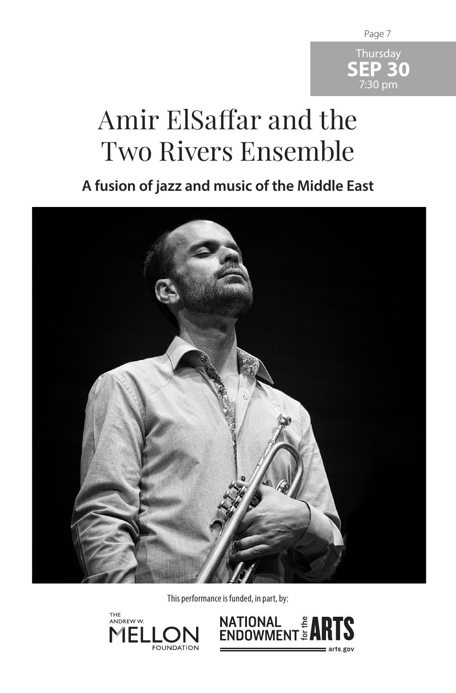

## Amir ElSaffar and the Two Rivers Ensemble

**A fusion of jazz and music of the Middle East**



This performance is funded, in part, by:



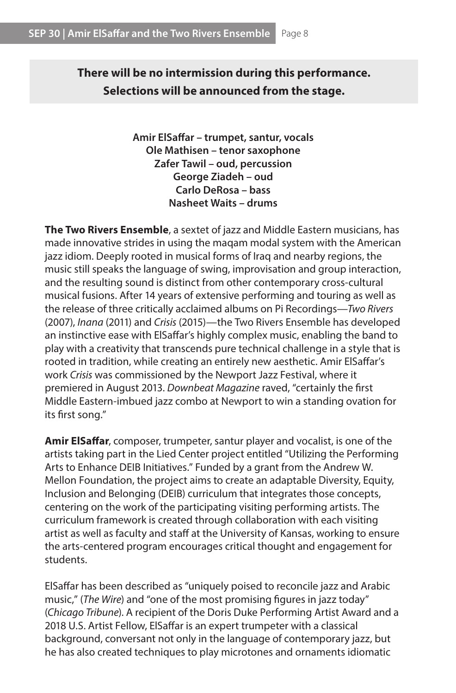**There will be no intermission during this performance. Selections will be announced from the stage.**

> **Amir ElSaffar – trumpet, santur, vocals Ole Mathisen – tenor saxophone Zafer Tawil – oud, percussion George Ziadeh – oud Carlo DeRosa – bass Nasheet Waits – drums**

**The Two Rivers Ensemble**, a sextet of jazz and Middle Eastern musicians, has made innovative strides in using the maqam modal system with the American jazz idiom. Deeply rooted in musical forms of Iraq and nearby regions, the music still speaks the language of swing, improvisation and group interaction, and the resulting sound is distinct from other contemporary cross-cultural musical fusions. After 14 years of extensive performing and touring as well as the release of three critically acclaimed albums on Pi Recordings—*Two Rivers* (2007), *Inana* (2011) and *Crisis* (2015)—the Two Rivers Ensemble has developed an instinctive ease with ElSaffar's highly complex music, enabling the band to play with a creativity that transcends pure technical challenge in a style that is rooted in tradition, while creating an entirely new aesthetic. Amir ElSaffar's work *Crisis* was commissioned by the Newport Jazz Festival, where it premiered in August 2013. *Downbeat Magazine* raved, "certainly the first Middle Eastern-imbued jazz combo at Newport to win a standing ovation for its first song."

**Amir ElSaffar**, composer, trumpeter, santur player and vocalist, is one of the artists taking part in the Lied Center project entitled "Utilizing the Performing Arts to Enhance DEIB Initiatives." Funded by a grant from the Andrew W. Mellon Foundation, the project aims to create an adaptable Diversity, Equity, Inclusion and Belonging (DEIB) curriculum that integrates those concepts, centering on the work of the participating visiting performing artists. The curriculum framework is created through collaboration with each visiting artist as well as faculty and staff at the University of Kansas, working to ensure the arts-centered program encourages critical thought and engagement for students.

ElSaffar has been described as "uniquely poised to reconcile jazz and Arabic music," (*The Wire*) and "one of the most promising figures in jazz today" (*Chicago Tribune*). A recipient of the Doris Duke Performing Artist Award and a 2018 U.S. Artist Fellow, ElSaffar is an expert trumpeter with a classical background, conversant not only in the language of contemporary jazz, but he has also created techniques to play microtones and ornaments idiomatic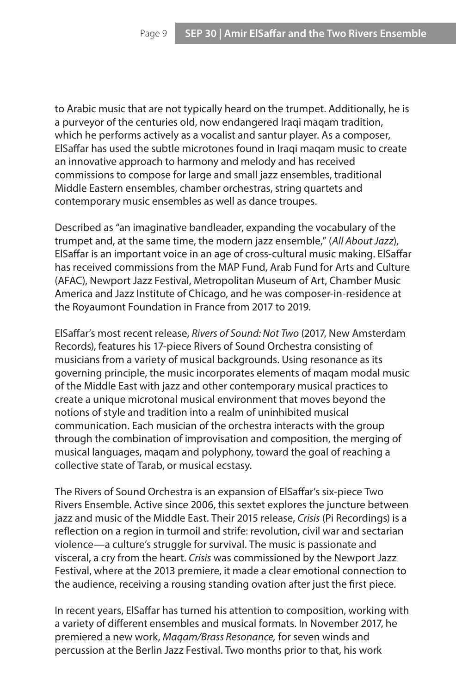to Arabic music that are not typically heard on the trumpet. Additionally, he is a purveyor of the centuries old, now endangered Iraqi maqam tradition, which he performs actively as a vocalist and santur player. As a composer, ElSaffar has used the subtle microtones found in Iraqi maqam music to create an innovative approach to harmony and melody and has received commissions to compose for large and small jazz ensembles, traditional Middle Eastern ensembles, chamber orchestras, string quartets and contemporary music ensembles as well as dance troupes.

Described as "an imaginative bandleader, expanding the vocabulary of the trumpet and, at the same time, the modern jazz ensemble," (*All About Jazz*), ElSaffar is an important voice in an age of cross-cultural music making. ElSaffar has received commissions from the MAP Fund, Arab Fund for Arts and Culture (AFAC), Newport Jazz Festival, Metropolitan Museum of Art, Chamber Music America and Jazz Institute of Chicago, and he was composer-in-residence at the Royaumont Foundation in France from 2017 to 2019.

ElSaffar's most recent release, *Rivers of Sound: Not Two* (2017, New Amsterdam Records), features his 17-piece Rivers of Sound Orchestra consisting of musicians from a variety of musical backgrounds. Using resonance as its governing principle, the music incorporates elements of maqam modal music of the Middle East with jazz and other contemporary musical practices to create a unique microtonal musical environment that moves beyond the notions of style and tradition into a realm of uninhibited musical communication. Each musician of the orchestra interacts with the group through the combination of improvisation and composition, the merging of musical languages, maqam and polyphony, toward the goal of reaching a collective state of Tarab, or musical ecstasy.

The Rivers of Sound Orchestra is an expansion of ElSaffar's six-piece Two Rivers Ensemble. Active since 2006, this sextet explores the juncture between jazz and music of the Middle East. Their 2015 release, *Crisis* (Pi Recordings) is a reflection on a region in turmoil and strife: revolution, civil war and sectarian violence—a culture's struggle for survival. The music is passionate and visceral, a cry from the heart. *Crisis* was commissioned by the Newport Jazz Festival, where at the 2013 premiere, it made a clear emotional connection to the audience, receiving a rousing standing ovation after just the first piece.

In recent years, ElSaffar has turned his attention to composition, working with a variety of different ensembles and musical formats. In November 2017, he premiered a new work, *Maqam/Brass Resonance,* for seven winds and percussion at the Berlin Jazz Festival. Two months prior to that, his work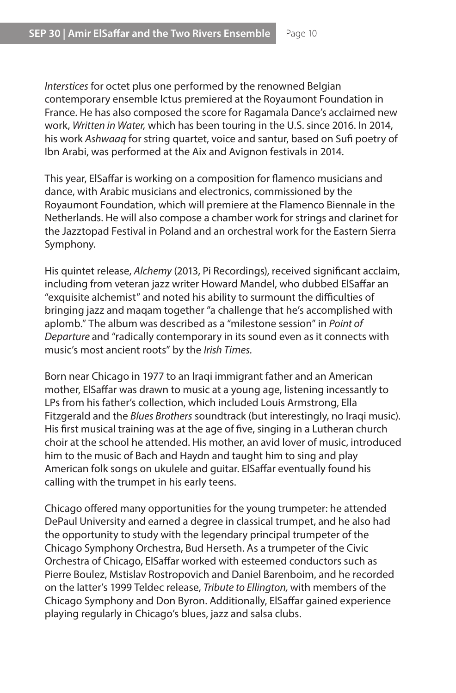*Interstices* for octet plus one performed by the renowned Belgian contemporary ensemble Ictus premiered at the Royaumont Foundation in France. He has also composed the score for Ragamala Dance's acclaimed new work, *Written in Water,* which has been touring in the U.S. since 2016. In 2014, his work *Ashwaaq* for string quartet, voice and santur, based on Sufi poetry of Ibn Arabi, was performed at the Aix and Avignon festivals in 2014.

This year, ElSaffar is working on a composition for flamenco musicians and dance, with Arabic musicians and electronics, commissioned by the Royaumont Foundation, which will premiere at the Flamenco Biennale in the Netherlands. He will also compose a chamber work for strings and clarinet for the Jazztopad Festival in Poland and an orchestral work for the Eastern Sierra Symphony.

His quintet release, *Alchemy* (2013, Pi Recordings), received significant acclaim, including from veteran jazz writer Howard Mandel, who dubbed ElSaffar an "exquisite alchemist" and noted his ability to surmount the difficulties of bringing jazz and maqam together "a challenge that he's accomplished with aplomb." The album was described as a "milestone session" in *Point of Departure* and "radically contemporary in its sound even as it connects with music's most ancient roots" by the *Irish Times.*

Born near Chicago in 1977 to an Iraqi immigrant father and an American mother, ElSaffar was drawn to music at a young age, listening incessantly to LPs from his father's collection, which included Louis Armstrong, Ella Fitzgerald and the *Blues Brothers* soundtrack (but interestingly, no Iraqi music). His first musical training was at the age of five, singing in a Lutheran church choir at the school he attended. His mother, an avid lover of music, introduced him to the music of Bach and Haydn and taught him to sing and play American folk songs on ukulele and guitar. ElSaffar eventually found his calling with the trumpet in his early teens.

Chicago offered many opportunities for the young trumpeter: he attended DePaul University and earned a degree in classical trumpet, and he also had the opportunity to study with the legendary principal trumpeter of the Chicago Symphony Orchestra, Bud Herseth. As a trumpeter of the Civic Orchestra of Chicago, ElSaffar worked with esteemed conductors such as Pierre Boulez, Mstislav Rostropovich and Daniel Barenboim, and he recorded on the latter's 1999 Teldec release, *Tribute to Ellington,* with members of the Chicago Symphony and Don Byron. Additionally, ElSaffar gained experience playing regularly in Chicago's blues, jazz and salsa clubs.